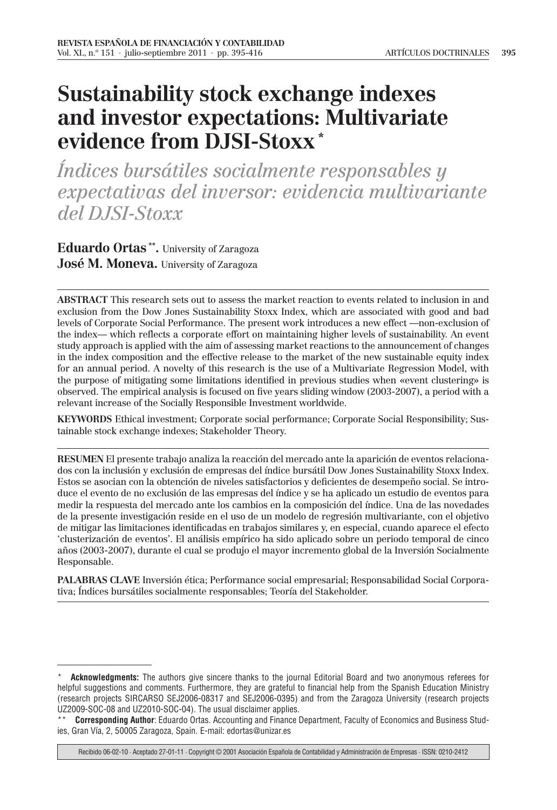# **Sustainability stock exchange indexes and investor expectations: Multivariate evidence from DJSI-Stoxx \***

*Índices bursátiles socialmente responsables y expectativas del inversor: evidencia multivariante del DJSI-Stoxx*

**Eduardo Ortas \*\*.** University of Zaragoza **José M. Moneva.** University of Zaragoza

**ABSTRACT** This research sets out to assess the market reaction to events related to inclusion in and exclusion from the Dow Jones Sustainability Stoxx Index, which are associated with good and bad levels of Corporate Social Performance. The present work introduces a new effect —non-exclusion of the index— which reflects a corporate effort on maintaining higher levels of sustainability. An event study approach is applied with the aim of assessing market reactions to the announcement of changes in the index composition and the effective release to the market of the new sustainable equity index for an annual period. A novelty of this research is the use of a Multivariate Regression Model, with the purpose of mitigating some limitations identified in previous studies when «event clustering» is observed. The empirical analysis is focused on five years sliding window (2003-2007), a period with a relevant increase of the Socially Responsible Investment worldwide.

**KEYWORDS** Ethical investment; Corporate social performance; Corporate Social Responsibility; Sustainable stock exchange indexes; Stakeholder Theory.

**RESUMEN** El presente trabajo analiza la reacción del mercado ante la aparición de eventos relacionados con la inclusión y exclusión de empresas del índice bursátil Dow Jones Sustainability Stoxx Index. Estos se asocian con la obtención de niveles satisfactorios y deficientes de desempeño social. Se introduce el evento de no exclusión de las empresas del índice y se ha aplicado un estudio de eventos para medir la respuesta del mercado ante los cambios en la composición del índice. Una de las novedades de la presente investigación reside en el uso de un modelo de regresión multivariante, con el objetivo de mitigar las limitaciones identificadas en trabajos similares y, en especial, cuando aparece el efecto 'clusterización de eventos'. El análisis empírico ha sido aplicado sobre un periodo temporal de cinco años (2003-2007), durante el cual se produjo el mayor incremento global de la Inversión Socialmente Responsable.

**PALABRAS CLAVE** Inversión ética; Performance social empresarial; Responsabilidad Social Corporativa; Índices bursátiles socialmente responsables; Teoría del Stakeholder.

Acknowledgments: The authors give sincere thanks to the journal Editorial Board and two anonymous referees for helpful suggestions and comments. Furthermore, they are grateful to financial help from the Spanish Education Ministry (research projects SIRCARSO SEJ2006-08317 and SEJ2006-0395) and from the Zaragoza University (research projects UZ2009-SOC-08 and UZ2010-SOC-04). The usual disclaimer applies.

<sup>\*\*</sup> **Corresponding Author**: Eduardo Ortas. Accounting and Finance Department, Faculty of Economics and Business Studies, Gran Vía, 2, 50005 Zaragoza, Spain. E-mail: edortas@unizar.es

Recibido 06-02-10 · Aceptado 27-01-11 · Copyright © 2001 Asociación Española de Contabilidad y Administración de Empresas · ISSN: 0210-2412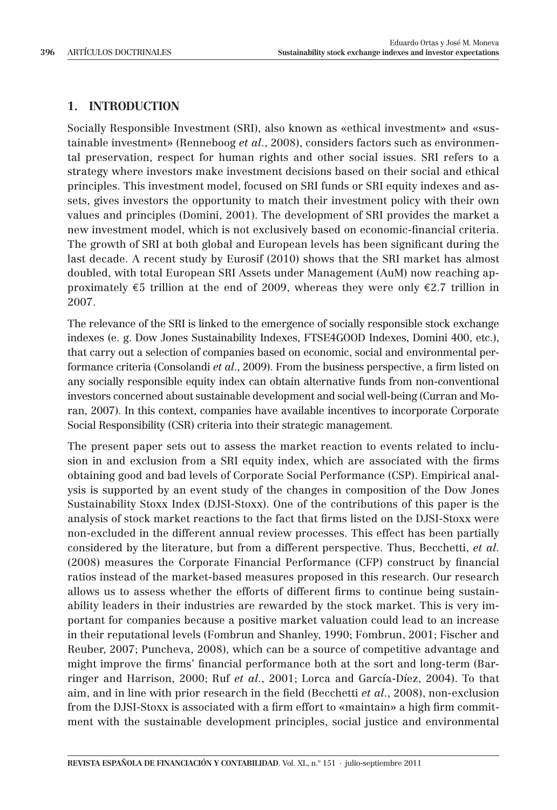## **1. INTRODUCTION**

Socially Responsible Investment (SRI), also known as «ethical investment» and «sustainable investment» (Renneboog *et al*., 2008), considers factors such as environmental preservation, respect for human rights and other social issues. SRI refers to a strategy where investors make investment decisions based on their social and ethical principles. This investment model, focused on SRI funds or SRI equity indexes and assets, gives investors the opportunity to match their investment policy with their own values and principles (Domini, 2001). The development of SRI provides the market a new investment model, which is not exclusively based on economic-financial criteria. The growth of SRI at both global and European levels has been significant during the last decade. A recent study by Eurosif (2010) shows that the SRI market has almost doubled, with total European SRI Assets under Management (AuM) now reaching approximately  $\epsilon$ 5 trillion at the end of 2009, whereas they were only  $\epsilon$ 2.7 trillion in 2007.

The relevance of the SRI is linked to the emergence of socially responsible stock exchange indexes (e. g. Dow Jones Sustainability Indexes, FTSE4GOOD Indexes, Domini 400, etc.), that carry out a selection of companies based on economic, social and environmental performance criteria (Consolandi *et al.*, 2009). From the business perspective, a firm listed on any socially responsible equity index can obtain alternative funds from non-conventional investors concerned about sustainable development and social well-being (Curran and Moran, 2007). In this context, companies have available incentives to incorporate Corporate Social Responsibility (CSR) criteria into their strategic management.

The present paper sets out to assess the market reaction to events related to inclusion in and exclusion from a SRI equity index, which are associated with the firms obtaining good and bad levels of Corporate Social Performance (CSP). Empirical analysis is supported by an event study of the changes in composition of the Dow Jones Sustainability Stoxx Index (DJSI-Stoxx). One of the contributions of this paper is the analysis of stock market reactions to the fact that firms listed on the DJSI-Stoxx were non-excluded in the different annual review processes. This effect has been partially considered by the literature, but from a different perspective. Thus, Becchetti, *et al*. (2008) measures the Corporate Financial Performance (CFP) construct by financial ratios instead of the market-based measures proposed in this research. Our research allows us to assess whether the efforts of different firms to continue being sustainability leaders in their industries are rewarded by the stock market. This is very important for companies because a positive market valuation could lead to an increase in their reputational levels (Fombrun and Shanley, 1990; Fombrun, 2001; Fischer and Reuber, 2007; Puncheva, 2008), which can be a source of competitive advantage and might improve the firms' financial performance both at the sort and long-term (Barringer and Harrison, 2000; Ruf *et al*., 2001; Lorca and García-Díez, 2004). To that aim, and in line with prior research in the field (Becchetti *et al.*, 2008), non-exclusion from the DJSI-Stoxx is associated with a firm effort to «maintain» a high firm commitment with the sustainable development principles, social justice and environmental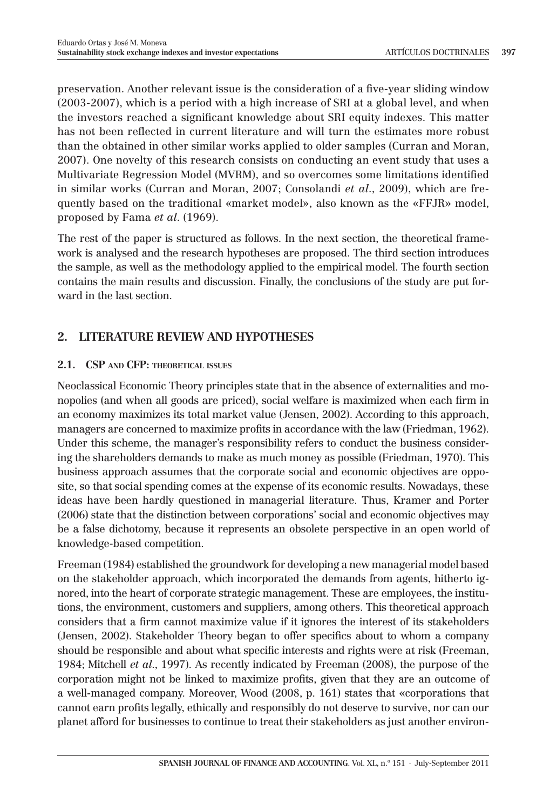preservation. Another relevant issue is the consideration of a five-year sliding window (2003-2007), which is a period with a high increase of SRI at a global level, and when the investors reached a significant knowledge about SRI equity indexes. This matter has not been reflected in current literature and will turn the estimates more robust than the obtained in other similar works applied to older samples (Curran and Moran, 2007). One novelty of this research consists on conducting an event study that uses a Multivariate Regression Model (MVRM), and so overcomes some limitations identified in similar works (Curran and Moran, 2007; Consolandi *et al*., 2009), which are frequently based on the traditional «market model», also known as the «FFJR» model, proposed by Fama *et al*. (1969).

The rest of the paper is structured as follows. In the next section, the theoretical framework is analysed and the research hypotheses are proposed. The third section introduces the sample, as well as the methodology applied to the empirical model. The fourth section contains the main results and discussion. Finally, the conclusions of the study are put forward in the last section.

# **2. LITERATURE REVIEW AND HYPOTHESES**

## **2.1. CSP AND CFP: THEORETICAL ISSUES**

Neoclassical Economic Theory principles state that in the absence of externalities and monopolies (and when all goods are priced), social welfare is maximized when each firm in an economy maximizes its total market value (Jensen, 2002). According to this approach, managers are concerned to maximize profits in accordance with the law (Friedman, 1962). Under this scheme, the manager's responsibility refers to conduct the business considering the shareholders demands to make as much money as possible (Friedman, 1970). This business approach assumes that the corporate social and economic objectives are opposite, so that social spending comes at the expense of its economic results. Nowadays, these ideas have been hardly questioned in managerial literature. Thus, Kramer and Porter (2006) state that the distinction between corporations' social and economic objectives may be a false dichotomy, because it represents an obsolete perspective in an open world of knowledge-based competition.

Freeman (1984) established the groundwork for developing a new managerial model based on the stakeholder approach, which incorporated the demands from agents, hitherto ignored, into the heart of corporate strategic management. These are employees, the institutions, the environment, customers and suppliers, among others. This theoretical approach considers that a firm cannot maximize value if it ignores the interest of its stakeholders (Jensen, 2002). Stakeholder Theory began to offer specifics about to whom a company should be responsible and about what specific interests and rights were at risk (Freeman, 1984; Mitchell *et al*., 1997). As recently indicated by Freeman (2008), the purpose of the corporation might not be linked to maximize profits, given that they are an outcome of a well-managed company. Moreover, Wood (2008, p. 161) states that «corporations that cannot earn profits legally, ethically and responsibly do not deserve to survive, nor can our planet afford for businesses to continue to treat their stakeholders as just another environ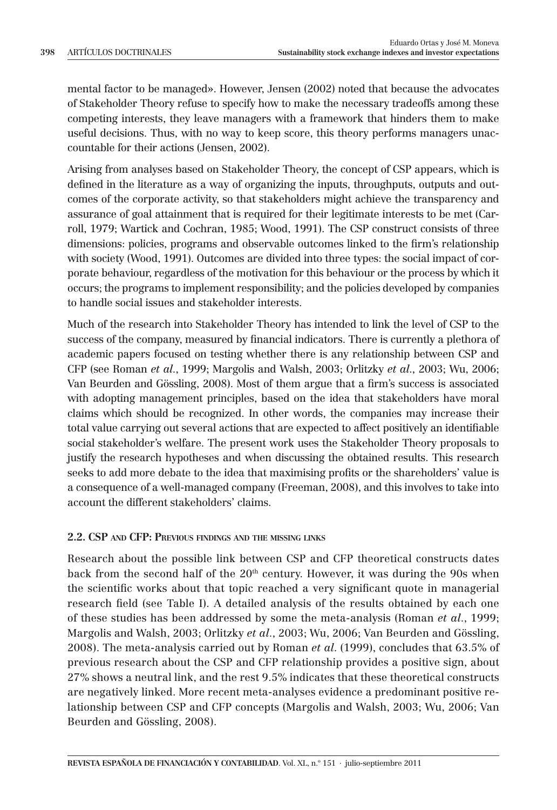mental factor to be managed». However, Jensen (2002) noted that because the advocates of Stakeholder Theory refuse to specify how to make the necessary tradeoffs among these competing interests, they leave managers with a framework that hinders them to make useful decisions. Thus, with no way to keep score, this theory performs managers unaccountable for their actions (Jensen, 2002).

Arising from analyses based on Stakeholder Theory, the concept of CSP appears, which is defined in the literature as a way of organizing the inputs, throughputs, outputs and outcomes of the corporate activity, so that stakeholders might achieve the transparency and assurance of goal attainment that is required for their legitimate interests to be met (Carroll, 1979; Wartick and Cochran, 1985; Wood, 1991). The CSP construct consists of three dimensions: policies, programs and observable outcomes linked to the firm's relationship with society (Wood, 1991). Outcomes are divided into three types: the social impact of corporate behaviour, regardless of the motivation for this behaviour or the process by which it occurs; the programs to implement responsibility; and the policies developed by companies to handle social issues and stakeholder interests.

Much of the research into Stakeholder Theory has intended to link the level of CSP to the success of the company, measured by financial indicators. There is currently a plethora of academic papers focused on testing whether there is any relationship between CSP and CFP (see Roman *et al*., 1999; Margolis and Walsh, 2003; Orlitzky *et al*., 2003; Wu, 2006; Van Beurden and Gössling, 2008). Most of them argue that a firm's success is associated with adopting management principles, based on the idea that stakeholders have moral claims which should be recognized. In other words, the companies may increase their total value carrying out several actions that are expected to affect positively an identifiable social stakeholder's welfare. The present work uses the Stakeholder Theory proposals to justify the research hypotheses and when discussing the obtained results. This research seeks to add more debate to the idea that maximising profits or the shareholders' value is a consequence of a well-managed company (Freeman, 2008), and this involves to take into account the different stakeholders' claims.

#### **2.2. CSP AND CFP: PREVIOUS FINDINGS AND THE MISSING LINKS**

Research about the possible link between CSP and CFP theoretical constructs dates back from the second half of the  $20<sup>th</sup>$  century. However, it was during the 90s when the scientific works about that topic reached a very significant quote in managerial research field (see Table I). A detailed analysis of the results obtained by each one of these studies has been addressed by some the meta-analysis (Roman *et al*., 1999; Margolis and Walsh, 2003; Orlitzky *et al*., 2003; Wu, 2006; Van Beurden and Gössling, 2008). The meta-analysis carried out by Roman *et al*. (1999), concludes that 63.5% of previous research about the CSP and CFP relationship provides a positive sign, about 27% shows a neutral link, and the rest 9.5% indicates that these theoretical constructs are negatively linked. More recent meta-analyses evidence a predominant positive relationship between CSP and CFP concepts (Margolis and Walsh, 2003; Wu, 2006; Van Beurden and Gössling, 2008).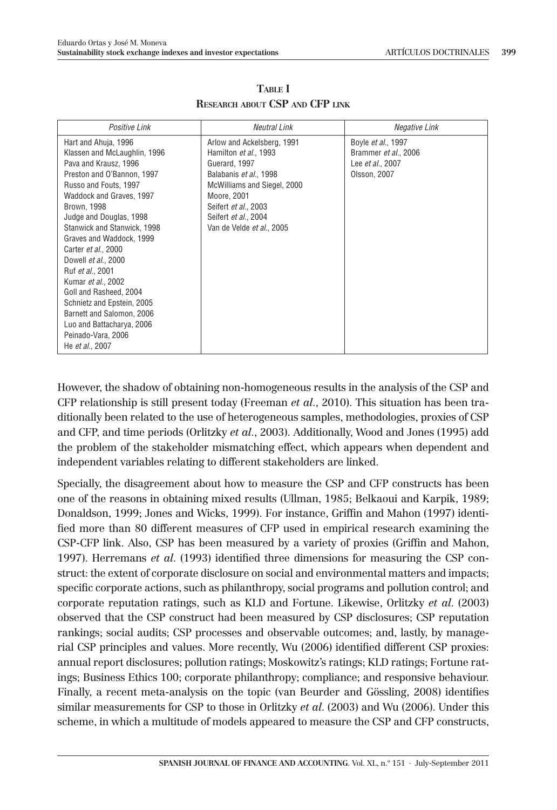| Positive Link                                                                                                                                                                                                                                                                                                                                                                                                                                                                                                            | Neutral Link                                                                                                                                                                                                              | Negative Link                                                                          |
|--------------------------------------------------------------------------------------------------------------------------------------------------------------------------------------------------------------------------------------------------------------------------------------------------------------------------------------------------------------------------------------------------------------------------------------------------------------------------------------------------------------------------|---------------------------------------------------------------------------------------------------------------------------------------------------------------------------------------------------------------------------|----------------------------------------------------------------------------------------|
| Hart and Ahuja, 1996<br>Klassen and McLaughlin, 1996<br>Pava and Krausz, 1996<br>Preston and O'Bannon, 1997<br>Russo and Fouts, 1997<br>Waddock and Graves, 1997<br>Brown, 1998<br>Judge and Douglas, 1998<br>Stanwick and Stanwick, 1998<br>Graves and Waddock, 1999<br>Carter et al., 2000<br>Dowell et al., 2000<br>Ruf et al., 2001<br>Kumar et al., 2002<br>Goll and Rasheed, 2004<br>Schnietz and Epstein, 2005<br>Barnett and Salomon, 2006<br>Luo and Battacharya, 2006<br>Peinado-Vara, 2006<br>He et al., 2007 | Arlow and Ackelsberg, 1991<br>Hamilton et al., 1993<br>Guerard, 1997<br>Balabanis et al., 1998<br>McWilliams and Siegel, 2000<br>Moore, 2001<br>Seifert et al., 2003<br>Seifert et al., 2004<br>Van de Velde et al., 2005 | Boyle <i>et al.</i> , 1997<br>Brammer et al., 2006<br>Lee et al., 2007<br>Olsson, 2007 |

**TABLE I RESEARCH ABOUT CSP AND CFP LINK**

However, the shadow of obtaining non-homogeneous results in the analysis of the CSP and CFP relationship is still present today (Freeman *et al*., 2010). This situation has been traditionally been related to the use of heterogeneous samples, methodologies, proxies of CSP and CFP, and time periods (Orlitzky *et al*., 2003). Additionally, Wood and Jones (1995) add the problem of the stakeholder mismatching effect, which appears when dependent and independent variables relating to different stakeholders are linked.

Specially, the disagreement about how to measure the CSP and CFP constructs has been one of the reasons in obtaining mixed results (Ullman, 1985; Belkaoui and Karpik, 1989; Donaldson, 1999; Jones and Wicks, 1999). For instance, Griffin and Mahon (1997) identified more than 80 different measures of CFP used in empirical research examining the CSP-CFP link. Also, CSP has been measured by a variety of proxies (Griffin and Mahon, 1997). Herremans *et al.* (1993) identified three dimensions for measuring the CSP construct: the extent of corporate disclosure on social and environmental matters and impacts; specific corporate actions, such as philanthropy, social programs and pollution control; and corporate reputation ratings, such as KLD and Fortune. Likewise, Orlitzky *et al*. (2003) observed that the CSP construct had been measured by CSP disclosures; CSP reputation rankings; social audits; CSP processes and observable outcomes; and, lastly, by managerial CSP principles and values. More recently, Wu (2006) identified different CSP proxies: annual report disclosures; pollution ratings; Moskowitz's ratings; KLD ratings; Fortune ratings; Business Ethics 100; corporate philanthropy; compliance; and responsive behaviour. Finally, a recent meta-analysis on the topic (van Beurder and Gössling, 2008) identifies similar measurements for CSP to those in Orlitzky *et al*. (2003) and Wu (2006). Under this scheme, in which a multitude of models appeared to measure the CSP and CFP constructs,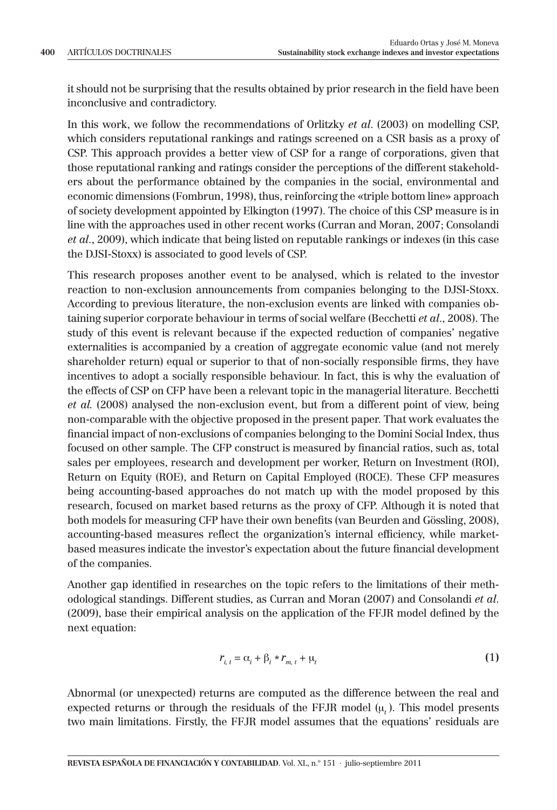it should not be surprising that the results obtained by prior research in the field have been inconclusive and contradictory.

In this work, we follow the recommendations of Orlitzky *et al*. (2003) on modelling CSP, which considers reputational rankings and ratings screened on a CSR basis as a proxy of CSP. This approach provides a better view of CSP for a range of corporations, given that those reputational ranking and ratings consider the perceptions of the different stakeholders about the performance obtained by the companies in the social, environmental and economic dimensions (Fombrun, 1998), thus, reinforcing the «triple bottom line» approach of society development appointed by Elkington (1997). The choice of this CSP measure is in line with the approaches used in other recent works (Curran and Moran, 2007; Consolandi *et al*., 2009), which indicate that being listed on reputable rankings or indexes (in this case the DJSI-Stoxx) is associated to good levels of CSP.

This research proposes another event to be analysed, which is related to the investor reaction to non-exclusion announcements from companies belonging to the DJSI-Stoxx. According to previous literature, the non-exclusion events are linked with companies obtaining superior corporate behaviour in terms of social welfare (Becchetti *et al*., 2008). The study of this event is relevant because if the expected reduction of companies' negative externalities is accompanied by a creation of aggregate economic value (and not merely shareholder return) equal or superior to that of non-socially responsible firms, they have incentives to adopt a socially responsible behaviour. In fact, this is why the evaluation of the effects of CSP on CFP have been a relevant topic in the managerial literature. Becchetti *et al.* (2008) analysed the non-exclusion event, but from a different point of view, being non-comparable with the objective proposed in the present paper. That work evaluates the financial impact of non-exclusions of companies belonging to the Domini Social Index, thus focused on other sample. The CFP construct is measured by financial ratios, such as, total sales per employees, research and development per worker, Return on Investment (ROI), Return on Equity (ROE), and Return on Capital Employed (ROCE). These CFP measures being accounting-based approaches do not match up with the model proposed by this research, focused on market based returns as the proxy of CFP. Although it is noted that both models for measuring CFP have their own benefits (van Beurden and Gössling, 2008), accounting-based measures reflect the organization's internal efficiency, while marketbased measures indicate the investor's expectation about the future financial development of the companies.

Another gap identified in researches on the topic refers to the limitations of their methodological standings. Different studies, as Curran and Moran (2007) and Consolandi *et al*. (2009), base their empirical analysis on the application of the FFJR model defined by the next equation:

$$
r_{i,t} = \alpha_i + \beta_i \cdot r_{m,t} + \mu_t \tag{1}
$$

Abnormal (or unexpected) returns are computed as the difference between the real and expected returns or through the residuals of the FFJR model  $(\mu_t)$ . This model presents two main limitations. Firstly, the FFJR model assumes that the equations' residuals are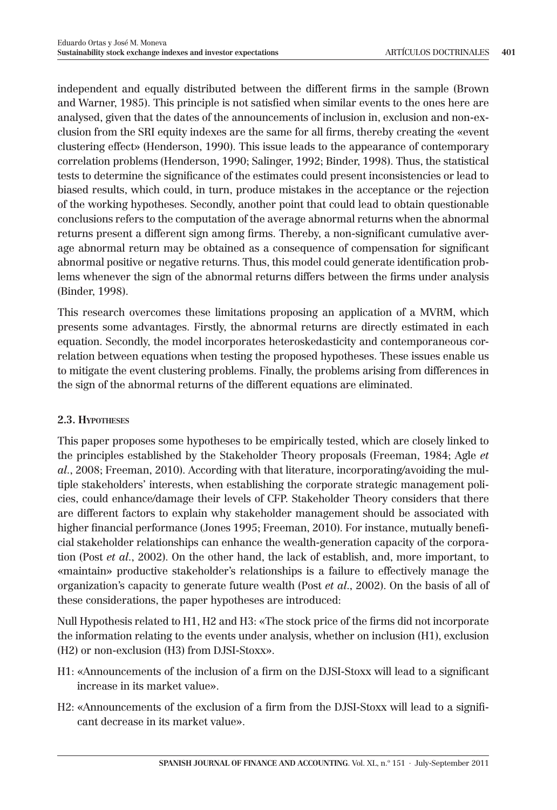independent and equally distributed between the different firms in the sample (Brown and Warner, 1985). This principle is not satisfied when similar events to the ones here are analysed, given that the dates of the announcements of inclusion in, exclusion and non-exclusion from the SRI equity indexes are the same for all firms, thereby creating the «event clustering effect» (Henderson, 1990). This issue leads to the appearance of contemporary correlation problems (Henderson, 1990; Salinger, 1992; Binder, 1998). Thus, the statistical tests to determine the significance of the estimates could present inconsistencies or lead to biased results, which could, in turn, produce mistakes in the acceptance or the rejection of the working hypotheses. Secondly, another point that could lead to obtain questionable conclusions refers to the computation of the average abnormal returns when the abnormal returns present a different sign among firms. Thereby, a non-significant cumulative average abnormal return may be obtained as a consequence of compensation for significant abnormal positive or negative returns. Thus, this model could generate identification problems whenever the sign of the abnormal returns differs between the firms under analysis (Binder, 1998).

This research overcomes these limitations proposing an application of a MVRM, which presents some advantages. Firstly, the abnormal returns are directly estimated in each equation. Secondly, the model incorporates heteroskedasticity and contemporaneous correlation between equations when testing the proposed hypotheses. These issues enable us to mitigate the event clustering problems. Finally, the problems arising from differences in the sign of the abnormal returns of the different equations are eliminated.

#### **2.3. HYPOTHESES**

This paper proposes some hypotheses to be empirically tested, which are closely linked to the principles established by the Stakeholder Theory proposals (Freeman, 1984; Agle *et al*., 2008; Freeman, 2010). According with that literature, incorporating/avoiding the multiple stakeholders' interests, when establishing the corporate strategic management policies, could enhance/damage their levels of CFP. Stakeholder Theory considers that there are different factors to explain why stakeholder management should be associated with higher financial performance (Jones 1995; Freeman, 2010). For instance, mutually beneficial stakeholder relationships can enhance the wealth-generation capacity of the corporation (Post *et al*., 2002). On the other hand, the lack of establish, and, more important, to «maintain» productive stakeholder's relationships is a failure to effectively manage the organization's capacity to generate future wealth (Post *et al*., 2002). On the basis of all of these considerations, the paper hypotheses are introduced:

Null Hypothesis related to H1, H2 and H3: «The stock price of the firms did not incorporate the information relating to the events under analysis, whether on inclusion (H1), exclusion (H2) or non-exclusion (H3) from DJSI-Stoxx».

- H1: «Announcements of the inclusion of a firm on the DJSI-Stoxx will lead to a significant increase in its market value».
- H2: «Announcements of the exclusion of a firm from the DJSI-Stoxx will lead to a significant decrease in its market value».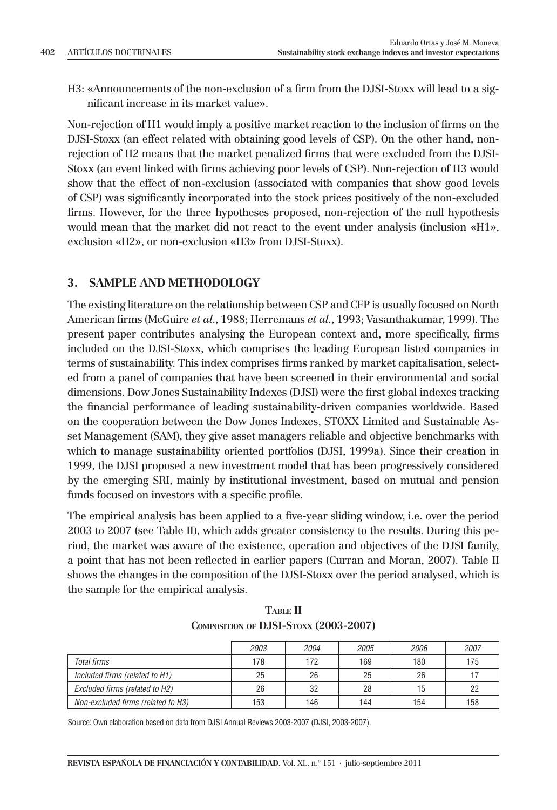H3: «Announcements of the non-exclusion of a firm from the DJSI-Stoxx will lead to a signifi cant increase in its market value».

Non-rejection of H1 would imply a positive market reaction to the inclusion of firms on the DJSI-Stoxx (an effect related with obtaining good levels of CSP). On the other hand, nonrejection of H2 means that the market penalized firms that were excluded from the DJSI-Stoxx (an event linked with firms achieving poor levels of CSP). Non-rejection of H3 would show that the effect of non-exclusion (associated with companies that show good levels of CSP) was significantly incorporated into the stock prices positively of the non-excluded firms. However, for the three hypotheses proposed, non-rejection of the null hypothesis would mean that the market did not react to the event under analysis (inclusion «H1», exclusion «H2», or non-exclusion «H3» from DJSI-Stoxx).

### **3. SAMPLE AND METHODOLOGY**

The existing literature on the relationship between CSP and CFP is usually focused on North American firms (McGuire *et al.*, 1988; Herremans *et al.*, 1993; Vasanthakumar, 1999). The present paper contributes analysing the European context and, more specifically, firms included on the DJSI-Stoxx, which comprises the leading European listed companies in terms of sustainability. This index comprises firms ranked by market capitalisation, selected from a panel of companies that have been screened in their environmental and social dimensions. Dow Jones Sustainability Indexes (DJSI) were the first global indexes tracking the financial performance of leading sustainability-driven companies worldwide. Based on the cooperation between the Dow Jones Indexes, STOXX Limited and Sustainable Asset Management (SAM), they give asset managers reliable and objective benchmarks with which to manage sustainability oriented portfolios (DJSI, 1999a). Since their creation in 1999, the DJSI proposed a new investment model that has been progressively considered by the emerging SRI, mainly by institutional investment, based on mutual and pension funds focused on investors with a specific profile.

The empirical analysis has been applied to a five-year sliding window, i.e. over the period 2003 to 2007 (see Table II), which adds greater consistency to the results. During this period, the market was aware of the existence, operation and objectives of the DJSI family, a point that has not been reflected in earlier papers (Curran and Moran, 2007). Table II shows the changes in the composition of the DJSI-Stoxx over the period analysed, which is the sample for the empirical analysis.

|                                    | 2003 | 2004 | 2005 | 2006 | 2007 |
|------------------------------------|------|------|------|------|------|
| Total firms                        | 178  | 172  | 169  | 180  | 175  |
| Included firms (related to H1)     | 25   | 26   | 25   | 26   | 17   |
| Excluded firms (related to H2)     | 26   | 32   | 28   | 15   | 22   |
| Non-excluded firms (related to H3) | 153  | 146  | 144  | 154  | 158  |

**TABLE II COMPOSITION OF DJSI-STOXX (2003-2007)**

Source: Own elaboration based on data from DJSI Annual Reviews 2003-2007 (DJSI, 2003-2007).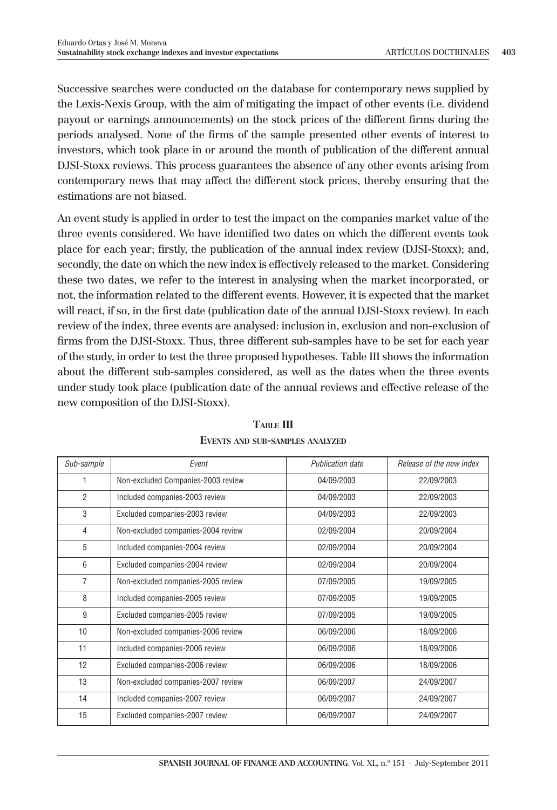Successive searches were conducted on the database for contemporary news supplied by the Lexis-Nexis Group, with the aim of mitigating the impact of other events (i.e. dividend payout or earnings announcements) on the stock prices of the different firms during the periods analysed. None of the firms of the sample presented other events of interest to investors, which took place in or around the month of publication of the different annual DJSI-Stoxx reviews. This process guarantees the absence of any other events arising from contemporary news that may affect the different stock prices, thereby ensuring that the estimations are not biased.

An event study is applied in order to test the impact on the companies market value of the three events considered. We have identified two dates on which the different events took place for each year; firstly, the publication of the annual index review (DJSI-Stoxx); and, secondly, the date on which the new index is effectively released to the market. Considering these two dates, we refer to the interest in analysing when the market incorporated, or not, the information related to the different events. However, it is expected that the market will react, if so, in the first date (publication date of the annual DJSI-Stoxx review). In each review of the index, three events are analysed: inclusion in, exclusion and non-exclusion of firms from the DJSI-Stoxx. Thus, three different sub-samples have to be set for each year of the study, in order to test the three proposed hypotheses. Table III shows the information about the different sub-samples considered, as well as the dates when the three events under study took place (publication date of the annual reviews and effective release of the new composition of the DJSI-Stoxx).

| Sub-sample     | Event                              | Publication date | Release of the new index |
|----------------|------------------------------------|------------------|--------------------------|
| 1              | Non-excluded Companies-2003 review | 04/09/2003       | 22/09/2003               |
| $\overline{2}$ | Included companies-2003 review     | 04/09/2003       | 22/09/2003               |
| 3              | Excluded companies-2003 review     | 04/09/2003       | 22/09/2003               |
| 4              | Non-excluded companies-2004 review | 02/09/2004       | 20/09/2004               |
| 5              | Included companies-2004 review     | 02/09/2004       | 20/09/2004               |
| 6              | Excluded companies-2004 review     | 02/09/2004       | 20/09/2004               |
| 7              | Non-excluded companies-2005 review | 07/09/2005       | 19/09/2005               |
| 8              | Included companies-2005 review     | 07/09/2005       | 19/09/2005               |
| 9              | Excluded companies-2005 review     | 07/09/2005       | 19/09/2005               |
| 10             | Non-excluded companies-2006 review | 06/09/2006       | 18/09/2006               |
| 11             | Included companies-2006 review     | 06/09/2006       | 18/09/2006               |
| 12             | Excluded companies-2006 review     | 06/09/2006       | 18/09/2006               |
| 13             | Non-excluded companies-2007 review | 06/09/2007       | 24/09/2007               |
| 14             | Included companies-2007 review     | 06/09/2007       | 24/09/2007               |
| 15             | Excluded companies-2007 review     | 06/09/2007       | 24/09/2007               |

#### **TABLE III EVENTS AND SUB-SAMPLES ANALYZED**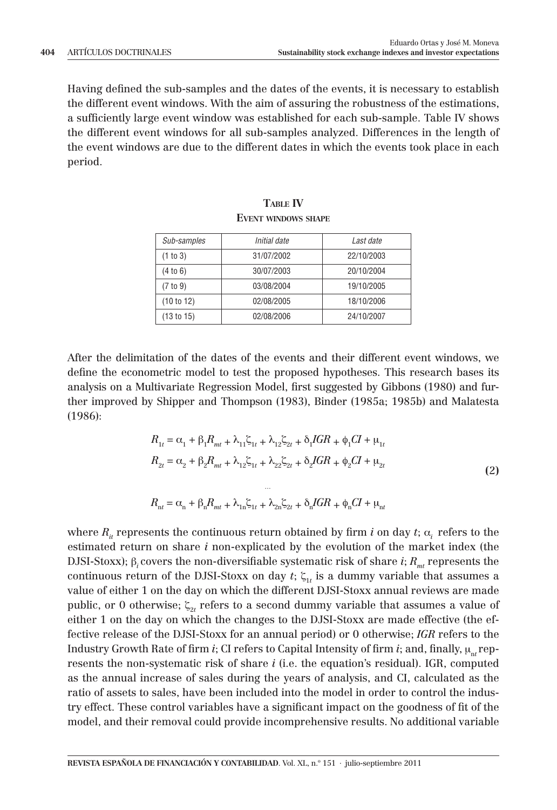Having defined the sub-samples and the dates of the events, it is necessary to establish the different event windows. With the aim of assuring the robustness of the estimations, a sufficiently large event window was established for each sub-sample. Table IV shows the different event windows for all sub-samples analyzed. Differences in the length of the event windows are due to the different dates in which the events took place in each period.

| Sub-samples | Initial date | Last date  |
|-------------|--------------|------------|
| (1 to 3)    | 31/07/2002   | 22/10/2003 |
| (4 to 6)    | 30/07/2003   | 20/10/2004 |
| (7 to 9)    | 03/08/2004   | 19/10/2005 |
| (10 to 12)  | 02/08/2005   | 18/10/2006 |
| (13 to 15)  | 02/08/2006   | 24/10/2007 |

| <b>TABLE IV</b>            |  |
|----------------------------|--|
| <b>EVENT WINDOWS SHAPE</b> |  |

After the delimitation of the dates of the events and their different event windows, we define the econometric model to test the proposed hypotheses. This research bases its analysis on a Multivariate Regression Model, first suggested by Gibbons (1980) and further improved by Shipper and Thompson (1983), Binder (1985a; 1985b) and Malatesta (1986):

$$
R_{1t} = \alpha_1 + \beta_1 R_{mt} + \lambda_{11} \xi_{1t} + \lambda_{12} \xi_{2t} + \delta_1 IGR + \phi_1 CI + \mu_{1t}
$$
  
\n
$$
R_{2t} = \alpha_2 + \beta_2 R_{mt} + \lambda_{12} \xi_{1t} + \lambda_{22} \xi_{2t} + \delta_2 IGR + \phi_2 CI + \mu_{2t}
$$
  
\n...  
\n
$$
R_{nt} = \alpha_n + \beta_n R_{mt} + \lambda_{1n} \xi_{1t} + \lambda_{2n} \xi_{2t} + \delta_n IGR + \phi_n CI + \mu_{nt}
$$
\n(2)

where  $R_{ii}$  represents the continuous return obtained by firm *i* on day *t*;  $\alpha_i$  refers to the estimated return on share *i* non-explicated by the evolution of the market index (the DJSI-Stoxx);  $\beta$ , covers the non-diversifiable systematic risk of share *i*;  $R_m$  represents the continuous return of the DJSI-Stoxx on day  $t$ ;  $\zeta_{1t}$  is a dummy variable that assumes a value of either 1 on the day on which the different DJSI-Stoxx annual reviews are made public, or 0 otherwise;  $\zeta_{2t}$  refers to a second dummy variable that assumes a value of either 1 on the day on which the changes to the DJSI-Stoxx are made effective (the effective release of the DJSI-Stoxx for an annual period) or 0 otherwise; *IGR* refers to the Industry Growth Rate of firm *i*; CI refers to Capital Intensity of firm *i*; and, finally,  $\mu_{n}$ , represents the non-systematic risk of share *i* (i.e. the equation's residual). IGR, computed as the annual increase of sales during the years of analysis, and CI, calculated as the ratio of assets to sales, have been included into the model in order to control the industry effect. These control variables have a significant impact on the goodness of fit of the model, and their removal could provide incomprehensive results. No additional variable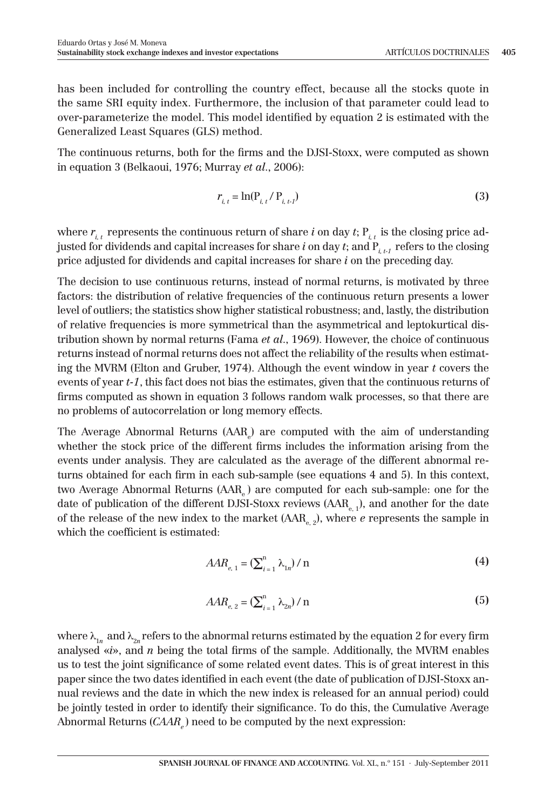has been included for controlling the country effect, because all the stocks quote in the same SRI equity index. Furthermore, the inclusion of that parameter could lead to over-parameterize the model. This model identified by equation 2 is estimated with the Generalized Least Squares (GLS) method.

The continuous returns, both for the firms and the DJSI-Stoxx, were computed as shown in equation 3 (Belkaoui, 1976; Murray *et al*., 2006):

$$
r_{i, t} = \ln(P_{i, t}/P_{i, t-1})
$$
\n(3)

where  $r_{i,t}$  represents the continuous return of share *i* on day *t*;  $P_{i,t}$  is the closing price adjusted for dividends and capital increases for share *i* on day *t*; and  $P_{i,t}$  refers to the closing price adjusted for dividends and capital increases for share *i* on the preceding day.

The decision to use continuous returns, instead of normal returns, is motivated by three factors: the distribution of relative frequencies of the continuous return presents a lower level of outliers; the statistics show higher statistical robustness; and, lastly, the distribution of relative frequencies is more symmetrical than the asymmetrical and leptokurtical distribution shown by normal returns (Fama *et al*., 1969). However, the choice of continuous returns instead of normal returns does not affect the reliability of the results when estimating the MVRM (Elton and Gruber, 1974). Although the event window in year *t* covers the events of year *t-1*, this fact does not bias the estimates, given that the continuous returns of firms computed as shown in equation 3 follows random walk processes, so that there are no problems of autocorrelation or long memory effects.

The Average Abnormal Returns  $(AAR_e)$  are computed with the aim of understanding whether the stock price of the different firms includes the information arising from the events under analysis. They are calculated as the average of the different abnormal returns obtained for each firm in each sub-sample (see equations 4 and 5). In this context, two Average Abnormal Returns  $(AAR<sub>c</sub>)$  are computed for each sub-sample: one for the date of publication of the different DJSI-Stoxx reviews  $(AAR_{n-1})$ , and another for the date of the release of the new index to the market  $(AAR_{a}$ , where  $e$  represents the sample in which the coefficient is estimated:

$$
AAR_{e,1} = \left(\sum_{i=1}^{n} \lambda_{1n}\right) / n \tag{4}
$$

$$
AAR_{e,2} = (\sum_{i=1}^{n} \lambda_{2n})/n
$$
 (5)

where  $\lambda_{1n}$  and  $\lambda_{2n}$  refers to the abnormal returns estimated by the equation 2 for every firm analysed  $\langle \dot{x} \rangle$ , and *n* being the total firms of the sample. Additionally, the MVRM enables us to test the joint significance of some related event dates. This is of great interest in this paper since the two dates identified in each event (the date of publication of DJSI-Stoxx annual reviews and the date in which the new index is released for an annual period) could be jointly tested in order to identify their significance. To do this, the Cumulative Average Abnormal Returns (*CAAR*<sub>c</sub>) need to be computed by the next expression: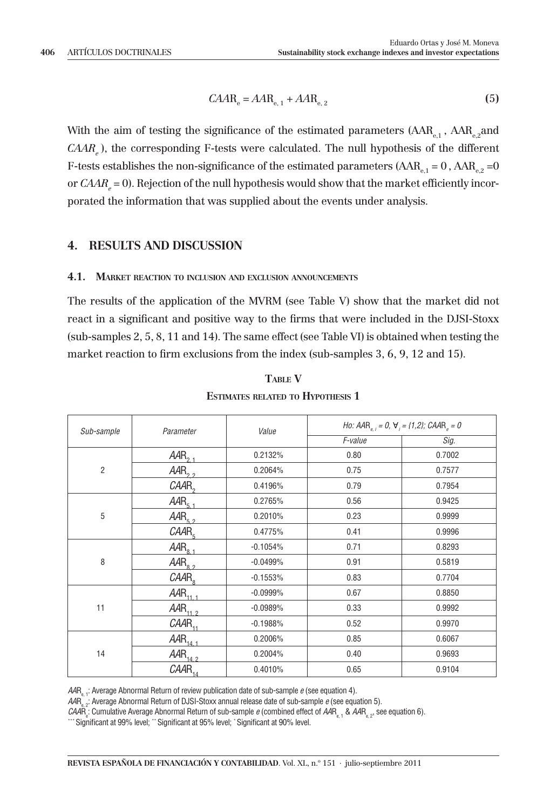$$
C A A Re = A A Re,1 + A A Re,2
$$
 (5)

With the aim of testing the significance of the estimated parameters  $(AAR_{n,1}, AAR_{n,2}$  and *CAAR*), the corresponding F-tests were calculated. The null hypothesis of the different F-tests establishes the non-significance of the estimated parameters  $(AAR_{a1} = 0, AAR_{a2} = 0)$ or *CAAR<sub>e</sub>* = 0). Rejection of the null hypothesis would show that the market efficiently incorporated the information that was supplied about the events under analysis.

#### **4. RESULTS AND DISCUSSION**

#### **4.1. MARKET REACTION TO INCLUSION AND EXCLUSION ANNOUNCEMENTS**

The results of the application of the MVRM (see Table V) show that the market did not react in a significant and positive way to the firms that were included in the DJSI-Stoxx (sub-samples 2, 5, 8, 11 and 14). The same effect (see Table VI) is obtained when testing the market reaction to firm exclusions from the index (sub-samples  $3, 6, 9, 12$  and  $15$ ).

| Sub-sample<br>Parameter | Value                           | <i>Ho:</i> $AAR_{e,i} = 0$ , $\forall i = \{1,2\}$ ; $CAAR_{e} = 0$ |      |        |
|-------------------------|---------------------------------|---------------------------------------------------------------------|------|--------|
|                         |                                 | F-value                                                             | Sig. |        |
|                         | $AAR_{2,1}$                     | 0.2132%                                                             | 0.80 | 0.7002 |
| $\overline{2}$          | AAR <sub>2,2</sub>              | 0.2064%                                                             | 0.75 | 0.7577 |
|                         | C <sub>A</sub> AR <sub>2</sub>  | 0.4196%                                                             | 0.79 | 0.7954 |
|                         | $AAR_{5,1}$                     | 0.2765%                                                             | 0.56 | 0.9425 |
| 5                       | AAR <sub>5.2</sub>              | 0.2010%                                                             | 0.23 | 0.9999 |
|                         | C <sub>A</sub> AR <sub>5</sub>  | 0.4775%                                                             | 0.41 | 0.9996 |
|                         | $AAR_{8,1}$                     | $-0.1054%$                                                          | 0.71 | 0.8293 |
| 8                       | $AAR_{82}$                      | $-0.0499%$                                                          | 0.91 | 0.5819 |
|                         | $\mathcal{C}AAR_{s}$            | $-0.1553%$                                                          | 0.83 | 0.7704 |
|                         | $AAR$ <sub>11,1</sub>           | $-0.0999\%$                                                         | 0.67 | 0.8850 |
| 11                      | $AAR$ <sub>11,2</sub>           | $-0.0989%$                                                          | 0.33 | 0.9992 |
|                         | C <sub>4</sub> AR <sub>11</sub> | $-0.1988%$                                                          | 0.52 | 0.9970 |
|                         | $\mathcal{A}AR_{14,1}$          | 0.2006%                                                             | 0.85 | 0.6067 |
| 14                      | $AAR$ <sub>14.2</sub>           | 0.2004%                                                             | 0.40 | 0.9693 |
|                         | $\mathcal{C}AAR_{14}$           | 0.4010%                                                             | 0.65 | 0.9104 |

**TABLE V ESTIMATES RELATED TO HYPOTHESIS 1**

 $AAR_{a}$ . Average Abnormal Return of review publication date of sub-sample  $e$  (see equation 4).

 $AAR_{n}^{T}$ : Average Abnormal Return of DJSI-Stoxx annual release date of sub-sample  $e$  (see equation 5).

CAAR<sub>e</sub>: Cumulative Average Abnormal Return of sub-sample *e* (combined effect of AAR<sub>e, 1</sub> & AAR<sub>e, 2</sub>, see equation 6).

\*\*\* Significant at 99% level; \*\* Significant at 95% level; \* Significant at 90% level.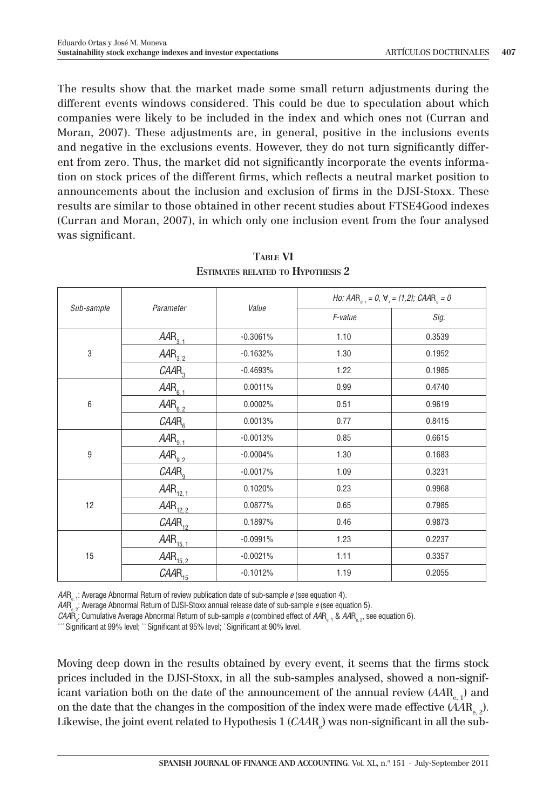The results show that the market made some small return adjustments during the different events windows considered. This could be due to speculation about which companies were likely to be included in the index and which ones not (Curran and Moran, 2007). These adjustments are, in general, positive in the inclusions events and negative in the exclusions events. However, they do not turn significantly different from zero. Thus, the market did not significantly incorporate the events information on stock prices of the different firms, which reflects a neutral market position to announcements about the inclusion and exclusion of firms in the DJSI-Stoxx. These results are similar to those obtained in other recent studies about FTSE4Good indexes (Curran and Moran, 2007), in which only one inclusion event from the four analysed was significant.

| Sub-sample<br>Parameter |                        | Value      | <i>Ho:</i> $AAR_{e,i} = 0$ , $\forall_i = \{1,2\}$ ; $CAAR_e = 0$ |        |  |
|-------------------------|------------------------|------------|-------------------------------------------------------------------|--------|--|
|                         |                        |            | F-value                                                           | Sig.   |  |
|                         | $AAR_{3,1}$            | $-0.3061%$ | 1.10                                                              | 0.3539 |  |
| 3                       | AAR <sub>3.2</sub>     | $-0.1632%$ | 1.30                                                              | 0.1952 |  |
|                         | $\mathcal{C}AAR_{3}$   | $-0.4693%$ | 1.22                                                              | 0.1985 |  |
|                         | $AAR_{6.1}$            | 0.0011%    | 0.99                                                              | 0.4740 |  |
| 6                       | $AAR_{6.2}$            | 0.0002%    | 0.51                                                              | 0.9619 |  |
|                         | $\mathcal{C}AAR_{6}$   | 0.0013%    | 0.77                                                              | 0.8415 |  |
|                         | $AAR_{9,1}$            | $-0.0013%$ | 0.85                                                              | 0.6615 |  |
| 9                       | AAR <sub>9.2</sub>     | $-0.0004%$ | 1.30                                                              | 0.1683 |  |
|                         | $\mathcal{C}AAR_{q}$   | $-0.0017%$ | 1.09                                                              | 0.3231 |  |
|                         | $AAR$ <sub>12, 1</sub> | 0.1020%    | 0.23                                                              | 0.9968 |  |
| 12                      | $AAR$ <sub>12, 2</sub> | 0.0877%    | 0.65                                                              | 0.7985 |  |
|                         | $\mathcal{C}AAR_{12}$  | 0.1897%    | 0.46                                                              | 0.9873 |  |
|                         | $AAR$ <sub>15.1</sub>  | $-0.0991%$ | 1.23                                                              | 0.2237 |  |
| 15                      | $AAR$ <sub>15.2</sub>  | $-0.0021%$ | 1.11                                                              | 0.3357 |  |
|                         | $\mathcal{C}AAR_{15}$  | $-0.1012%$ | 1.19                                                              | 0.2055 |  |

**TABLE VI ESTIMATES RELATED TO HYPOTHESIS 2**

AAR<sub>s</sub>,: Average Abnormal Return of review publication date of sub-sample  $e$  (see equation 4).

 $AAR_{a}$ . Average Abnormal Return of DJSI-Stoxx annual release date of sub-sample  $e$  (see equation 5).

CAAR<sub>e</sub>: Cumulative Average Abnormal Return of sub-sample *e* (combined effect of AAR<sub>e, 1</sub> & AAR<sub>e, 2</sub>, see equation 6).

\*\* Significant at 99% level; \*\* Significant at 95% level; \* Significant at 90% level.

Moving deep down in the results obtained by every event, it seems that the firms stock prices included in the DJSI-Stoxx, in all the sub-samples analysed, showed a non-significant variation both on the date of the announcement of the annual review  $(AAR_{e,1})$  and on the date that the changes in the composition of the index were made effective  $(AAR_{\alpha}$ <sub>2</sub>). Likewise, the joint event related to Hypothesis 1  $(C\!A\!A\mathrm{R}_{\mathrm{e}})$  was non-significant in all the sub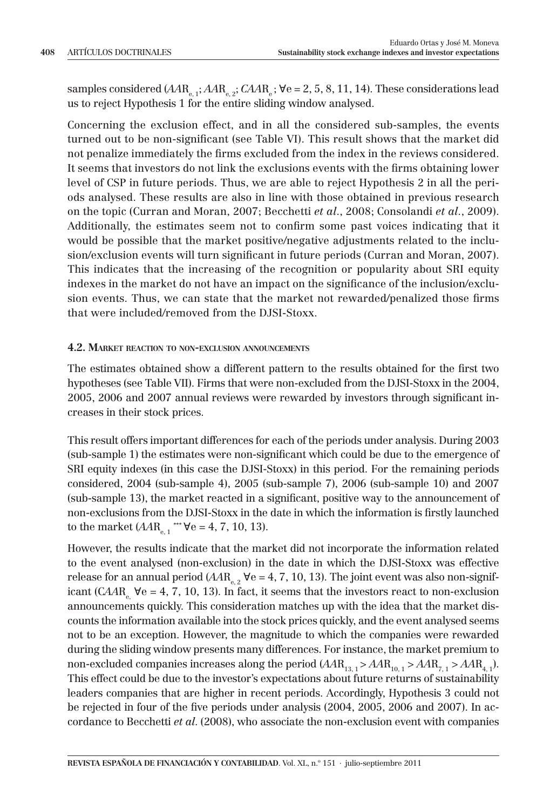samples considered  $(AAR_{e_i}; AAR_{e_j}; CAAR_{e_i}; \forall e = 2, 5, 8, 11, 14)$ . These considerations lead us to reject Hypothesis 1 for the entire sliding window analysed.

Concerning the exclusion effect, and in all the considered sub-samples, the events turned out to be non-significant (see Table VI). This result shows that the market did not penalize immediately the firms excluded from the index in the reviews considered. It seems that investors do not link the exclusions events with the firms obtaining lower level of CSP in future periods. Thus, we are able to reject Hypothesis 2 in all the periods analysed. These results are also in line with those obtained in previous research on the topic (Curran and Moran, 2007; Becchetti *et al*., 2008; Consolandi *et al*., 2009). Additionally, the estimates seem not to confirm some past voices indicating that it would be possible that the market positive/negative adjustments related to the inclusion/exclusion events will turn significant in future periods (Curran and Moran, 2007). This indicates that the increasing of the recognition or popularity about SRI equity indexes in the market do not have an impact on the significance of the inclusion/exclusion events. Thus, we can state that the market not rewarded/penalized those firms that were included/removed from the DJSI-Stoxx.

#### **4.2. MARKET REACTION TO NON-EXCLUSION ANNOUNCEMENTS**

The estimates obtained show a different pattern to the results obtained for the first two hypotheses (see Table VII). Firms that were non-excluded from the DJSI-Stoxx in the 2004, 2005, 2006 and 2007 annual reviews were rewarded by investors through significant increases in their stock prices.

This result offers important differences for each of the periods under analysis. During 2003 (sub-sample 1) the estimates were non-significant which could be due to the emergence of SRI equity indexes (in this case the DJSI-Stoxx) in this period. For the remaining periods considered, 2004 (sub-sample 4), 2005 (sub-sample 7), 2006 (sub-sample 10) and 2007 (sub-sample 13), the market reacted in a significant, positive way to the announcement of non-exclusions from the DJSI-Stoxx in the date in which the information is firstly launched to the market  $(AAR_{e, 1}^{\prime\prime\prime} \forall e = 4, 7, 10, 13).$ 

However, the results indicate that the market did not incorporate the information related to the event analysed (non-exclusion) in the date in which the DJSI-Stoxx was effective release for an annual period  $(AAR_{\circ}, \forall e = 4, 7, 10, 13)$ . The joint event was also non-significant (CAAR,  $\forall e = 4, 7, 10, 13$ ). In fact, it seems that the investors react to non-exclusion announcements quickly. This consideration matches up with the idea that the market discounts the information available into the stock prices quickly, and the event analysed seems not to be an exception. However, the magnitude to which the companies were rewarded during the sliding window presents many differences. For instance, the market premium to non-excluded companies increases along the period  $(AAR_{13, 1} > AAR_{10, 1} > AAR_{7, 1} > AAR_{4, 1}).$ This effect could be due to the investor's expectations about future returns of sustainability leaders companies that are higher in recent periods. Accordingly, Hypothesis 3 could not be rejected in four of the five periods under analysis (2004, 2005, 2006 and 2007). In accordance to Becchetti *et al*. (2008), who associate the non-exclusion event with companies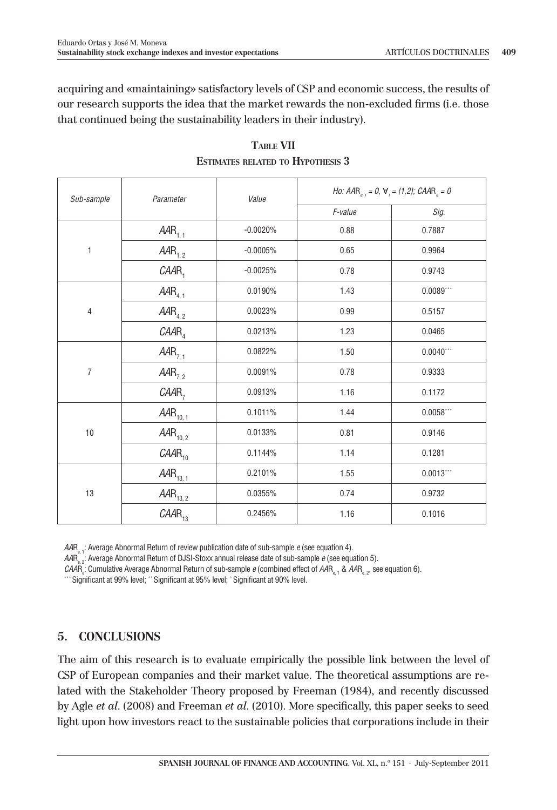acquiring and «maintaining» satisfactory levels of CSP and economic success, the results of our research supports the idea that the market rewards the non-excluded firms (i.e. those that continued being the sustainability leaders in their industry).

| Sub-sample<br>Parameter | Value                                     | <i>Ho:</i> $AAR_{e,i} = 0$ , $\forall i = \{1,2\}$ ; $CAAR_{e} = 0$ |      |        |
|-------------------------|-------------------------------------------|---------------------------------------------------------------------|------|--------|
|                         |                                           | F-value                                                             | Sig. |        |
|                         | $AAR$ <sub>1, 1</sub>                     | $-0.0020%$                                                          | 0.88 | 0.7887 |
| 1                       | AAR <sub>1,2</sub>                        | $-0.0005%$                                                          | 0.65 | 0.9964 |
|                         | C <sub>4</sub> AR <sub>1</sub>            | $-0.0025%$                                                          | 0.78 | 0.9743 |
|                         | $AAR$ <sub>4, 1</sub>                     | 0.0190%                                                             | 1.43 | 0.0089 |
| $\overline{4}$          | $\mathit{AAR}_{4,\,2}$                    | 0.0023%                                                             | 0.99 | 0.5157 |
|                         | $\text{CAAR}_4$                           | 0.0213%                                                             | 1.23 | 0.0465 |
|                         | $AAR$ <sub>7, 1</sub>                     | 0.0822%                                                             | 1.50 | 0.0040 |
| $\overline{7}$          | AAR <sub>7,2</sub>                        | 0.0091%                                                             | 0.78 | 0.9333 |
|                         | $\mathcal{C}AAR_{7}$                      | 0.0913%                                                             | 1.16 | 0.1172 |
|                         | $AAR$ <sub>10, 1</sub>                    | 0.1011%                                                             | 1.44 | 0.0058 |
| 10                      | $\textit{AAR}_{\scriptscriptstyle 10,2}$  | 0.0133%                                                             | 0.81 | 0.9146 |
|                         | $\mathcal{C}AAR_{10}$                     | 0.1144%                                                             | 1.14 | 0.1281 |
|                         | $\textit{AAR}_{\scriptscriptstyle{13,1}}$ | 0.2101%                                                             | 1.55 | 0.0013 |
| 13                      | $\textit{AAR}_{\scriptscriptstyle{13,2}}$ | 0.0355%                                                             | 0.74 | 0.9732 |
|                         | $\mathcal{C}AAR_{13}$                     | 0.2456%                                                             | 1.16 | 0.1016 |

| <b>TABLE VII</b>                         |  |
|------------------------------------------|--|
| <b>ESTIMATES RELATED TO HYPOTHESIS 3</b> |  |

AAR<sub>s</sub>,: Average Abnormal Return of review publication date of sub-sample  $e$  (see equation 4).

 $AAR_{s}^{2}$ : Average Abnormal Return of DJSI-Stoxx annual release date of sub-sample  $e$  (see equation 5).

CAAR<sub>e</sub>: Cumulative Average Abnormal Return of sub-sample  $e$  (combined effect of AAR<sub>e, 1</sub> & AAR<sub>e, 2</sub>, see equation 6).

\*\*\* Significant at 99% level; \*\* Significant at 95% level; \* Significant at 90% level.

#### **5. CONCLUSIONS**

The aim of this research is to evaluate empirically the possible link between the level of CSP of European companies and their market value. The theoretical assumptions are related with the Stakeholder Theory proposed by Freeman (1984), and recently discussed by Agle *et al.* (2008) and Freeman *et al.* (2010). More specifically, this paper seeks to seed light upon how investors react to the sustainable policies that corporations include in their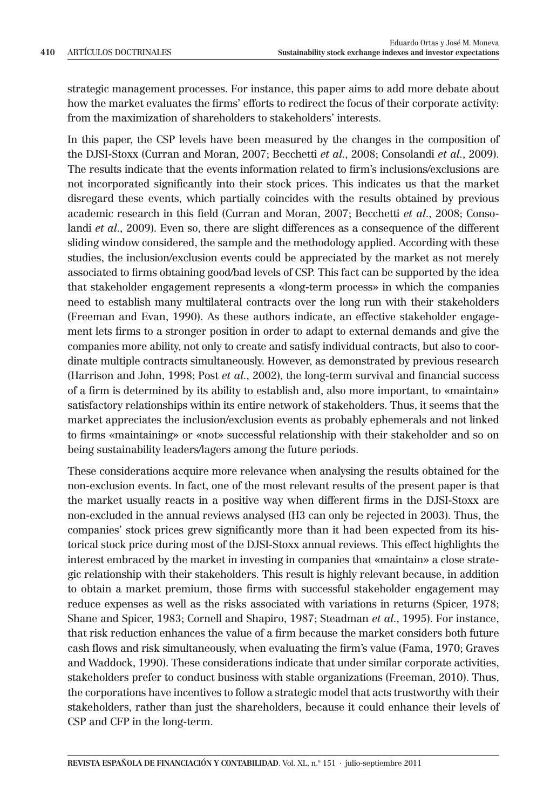strategic management processes. For instance, this paper aims to add more debate about how the market evaluates the firms' efforts to redirect the focus of their corporate activity: from the maximization of shareholders to stakeholders' interests.

In this paper, the CSP levels have been measured by the changes in the composition of the DJSI-Stoxx (Curran and Moran, 2007; Becchetti *et al*., 2008; Consolandi *et al*., 2009). The results indicate that the events information related to firm's inclusions/exclusions are not incorporated significantly into their stock prices. This indicates us that the market disregard these events, which partially coincides with the results obtained by previous academic research in this field (Curran and Moran, 2007; Becchetti *et al.*, 2008; Consolandi *et al*., 2009). Even so, there are slight differences as a consequence of the different sliding window considered, the sample and the methodology applied. According with these studies, the inclusion/exclusion events could be appreciated by the market as not merely associated to firms obtaining good/bad levels of CSP. This fact can be supported by the idea that stakeholder engagement represents a «long-term process» in which the companies need to establish many multilateral contracts over the long run with their stakeholders (Freeman and Evan, 1990). As these authors indicate, an effective stakeholder engagement lets firms to a stronger position in order to adapt to external demands and give the companies more ability, not only to create and satisfy individual contracts, but also to coordinate multiple contracts simultaneously. However, as demonstrated by previous research (Harrison and John, 1998; Post *et al.*, 2002), the long-term survival and financial success of a firm is determined by its ability to establish and, also more important, to «maintain» satisfactory relationships within its entire network of stakeholders. Thus, it seems that the market appreciates the inclusion/exclusion events as probably ephemerals and not linked to firms «maintaining» or «not» successful relationship with their stakeholder and so on being sustainability leaders/lagers among the future periods.

These considerations acquire more relevance when analysing the results obtained for the non-exclusion events. In fact, one of the most relevant results of the present paper is that the market usually reacts in a positive way when different firms in the DJSI-Stoxx are non-excluded in the annual reviews analysed (H3 can only be rejected in 2003). Thus, the companies' stock prices grew significantly more than it had been expected from its historical stock price during most of the DJSI-Stoxx annual reviews. This effect highlights the interest embraced by the market in investing in companies that «maintain» a close strategic relationship with their stakeholders. This result is highly relevant because, in addition to obtain a market premium, those firms with successful stakeholder engagement may reduce expenses as well as the risks associated with variations in returns (Spicer, 1978; Shane and Spicer, 1983; Cornell and Shapiro, 1987; Steadman *et al*., 1995). For instance, that risk reduction enhances the value of a firm because the market considers both future cash flows and risk simultaneously, when evaluating the firm's value (Fama, 1970; Graves and Waddock, 1990). These considerations indicate that under similar corporate activities, stakeholders prefer to conduct business with stable organizations (Freeman, 2010). Thus, the corporations have incentives to follow a strategic model that acts trustworthy with their stakeholders, rather than just the shareholders, because it could enhance their levels of CSP and CFP in the long-term.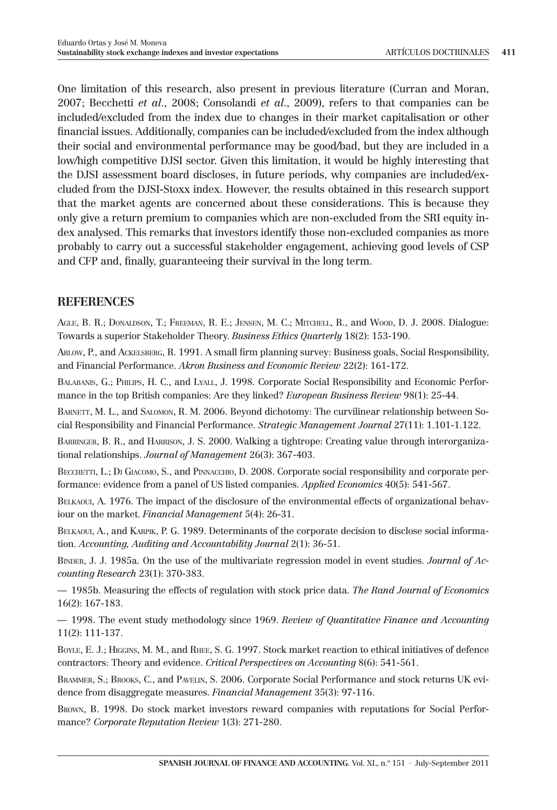One limitation of this research, also present in previous literature (Curran and Moran, 2007; Becchetti *et al*., 2008; Consolandi *et al*., 2009), refers to that companies can be included/excluded from the index due to changes in their market capitalisation or other financial issues. Additionally, companies can be included/excluded from the index although their social and environmental performance may be good/bad, but they are included in a low/high competitive DJSI sector. Given this limitation, it would be highly interesting that the DJSI assessment board discloses, in future periods, why companies are included/excluded from the DJSI-Stoxx index. However, the results obtained in this research support that the market agents are concerned about these considerations. This is because they only give a return premium to companies which are non-excluded from the SRI equity index analysed. This remarks that investors identify those non-excluded companies as more probably to carry out a successful stakeholder engagement, achieving good levels of CSP and CFP and, finally, guaranteeing their survival in the long term.

### **REFERENCES**

AGLE, B. R.; DONALDSON, T.; FREEMAN, R. E.; JENSEN, M. C.; MITCHELL, R., and WOOD, D. J. 2008. Dialogue: Towards a superior Stakeholder Theory. *Business Ethics Quarterly* 18(2): 153-190.

ARLOW, P., and ACKELSBERG, R. 1991. A small firm planning survey: Business goals, Social Responsibility, and Financial Performance. *Akron Business and Economic Review* 22(2): 161-172.

BALABANIS, G.; PHILIPS, H. C., and LYALL, J. 1998. Corporate Social Responsibility and Economic Performance in the top British companies: Are they linked? *European Business Review* 98(1): 25-44.

BARNETT, M. L., and SALOMON, R. M. 2006. Beyond dichotomy: The curvilinear relationship between Social Responsibility and Financial Performance. *Strategic Management Journal* 27(11): 1.101-1.122.

BARRINGER, B. R., and HARRISON, J. S. 2000. Walking a tightrope: Creating value through interorganizational relationships. *Journal of Management* 26(3): 367-403.

BECCHETTI, L.; DI GIACOMO, S., and PINNACCHIO, D. 2008. Corporate social responsibility and corporate performance: evidence from a panel of US listed companies. *Applied Economics* 40(5): 541-567.

BELKAOUI, A. 1976. The impact of the disclosure of the environmental effects of organizational behaviour on the market. *Financial Management* 5(4): 26-31.

BELKAOUI, A., and KARPIK, P. G. 1989. Determinants of the corporate decision to disclose social information. *Accounting, Auditing and Accountability Journal* 2(1): 36-51.

BINDER, J. J. 1985a. On the use of the multivariate regression model in event studies. *Journal of Accounting Research* 23(1): 370-383.

— 1985b. Measuring the effects of regulation with stock price data. *The Rand Journal of Economics* 16(2): 167-183.

— 1998. The event study methodology since 1969. *Review of Quantitative Finance and Accounting* 11(2): 111-137.

BOYLE, E. J.; HIGGINS, M. M., and RHEE, S. G. 1997. Stock market reaction to ethical initiatives of defence contractors: Theory and evidence. *Critical Perspectives on Accounting* 8(6): 541-561.

BRAMMER, S.; BROOKS, C., and PAVELIN, S. 2006. Corporate Social Performance and stock returns UK evidence from disaggregate measures. *Financial Management* 35(3): 97-116.

BROWN, B. 1998. Do stock market investors reward companies with reputations for Social Performance? *Corporate Reputation Review* 1(3): 271-280.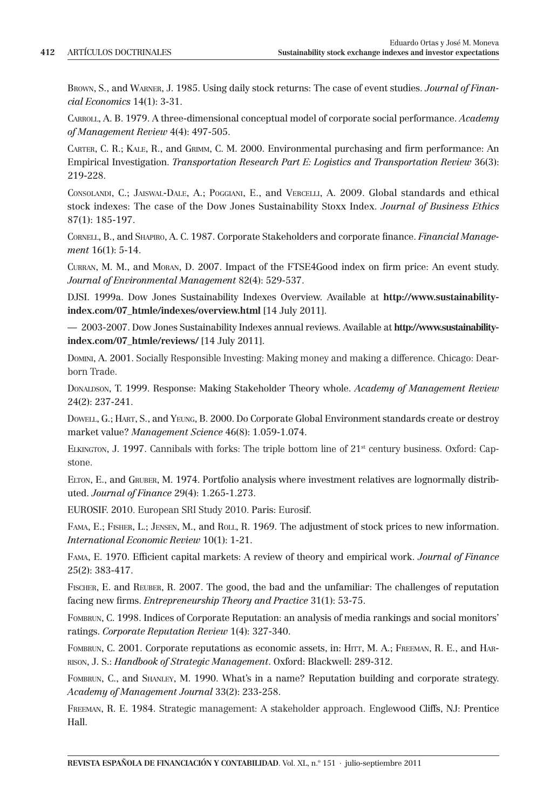BROWN, S., and WARNER, J. 1985. Using daily stock returns: The case of event studies. *Journal of Financial Economics* 14(1): 3-31.

CARROLL, A. B. 1979. A three-dimensional conceptual model of corporate social performance. *Academy of Management Review* 4(4): 497-505.

CARTER, C. R.; KALE, R., and GRIMM, C. M. 2000. Environmental purchasing and firm performance: An Empirical Investigation. *Transportation Research Part E: Logistics and Transportation Review* 36(3): 219-228.

CONSOLANDI, C.; JAISWAL-DALE, A.; POGGIANI, E., and VERCELLI, A. 2009. Global standards and ethical stock indexes: The case of the Dow Jones Sustainability Stoxx Index. *Journal of Business Ethics* 87(1): 185-197.

CORNELL, B., and SHAPIRO, A. C. 1987. Corporate Stakeholders and corporate finance. *Financial Management* 16(1): 5-14.

CURRAN, M. M., and MORAN, D. 2007. Impact of the FTSE4Good index on firm price: An event study. *Journal of Environmental Management* 82(4): 529-537.

DJSI. 1999a. Dow Jones Sustainability Indexes Overview. Available at **http://www.sustainabilityindex.com/07\_htmle/indexes/overview.html** [14 July 2011].

— 2003-2007. Dow Jones Sustainability Indexes annual reviews. Available at **http://www.sustainabilityindex.com/07\_htmle/reviews/** [14 July 2011].

DOMINI, A. 2001. Socially Responsible Investing: Making money and making a difference. Chicago: Dearborn Trade.

DONALDSON, T. 1999. Response: Making Stakeholder Theory whole. *Academy of Management Review* 24(2): 237-241.

DOWELL, G.; HART, S., and YEUNG, B. 2000. Do Corporate Global Environment standards create or destroy market value? *Management Science* 46(8): 1.059-1.074.

ELKINGTON, J. 1997. Cannibals with forks: The triple bottom line of  $21<sup>st</sup>$  century business. Oxford: Capstone.

ELTON, E., and GRUBER, M. 1974. Portfolio analysis where investment relatives are lognormally distributed. *Journal of Finance* 29(4): 1.265-1.273.

EUROSIF. 2010. European SRI Study 2010. Paris: Eurosif.

FAMA, E.; FISHER, L.; JENSEN, M., and ROLL, R. 1969. The adjustment of stock prices to new information. *International Economic Review* 10(1): 1-21.

FAMA, E. 1970. Efficient capital markets: A review of theory and empirical work. *Journal of Finance* 25(2): 383-417.

FISCHER, E. and REUBER, R. 2007. The good, the bad and the unfamiliar: The challenges of reputation facing new firms. *Entrepreneurship Theory and Practice* 31(1): 53-75.

FOMBRUN, C. 1998. Indices of Corporate Reputation: an analysis of media rankings and social monitors' ratings. *Corporate Reputation Review* 1(4): 327-340.

FOMBRUN, C. 2001. Corporate reputations as economic assets, in: HITT, M. A.; FREEMAN, R. E., and HAR-RISON, J. S.: *Handbook of Strategic Management*. Oxford: Blackwell: 289-312.

FOMBRUN, C., and SHANLEY, M. 1990. What's in a name? Reputation building and corporate strategy. *Academy of Management Journal* 33(2): 233-258.

FREEMAN, R. E. 1984. Strategic management: A stakeholder approach. Englewood Cliffs, NJ: Prentice Hall.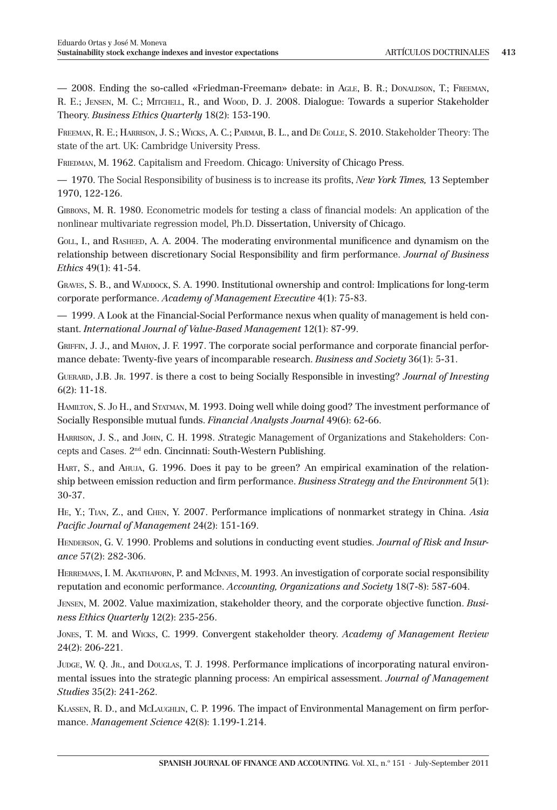— 2008. Ending the so-called «Friedman-Freeman» debate: in AGLE, B. R.; DONALDSON, T.; FREEMAN, R. E.; JENSEN, M. C.; MITCHELL, R., and WOOD, D. J. 2008. Dialogue: Towards a superior Stakeholder Theory. *Business Ethics Quarterly* 18(2): 153-190.

FREEMAN, R. E.; HARRISON, J. S.; WICKS, A. C.; PARMAR, B. L., and DE COLLE, S. 2010. Stakeholder Theory: The state of the art. UK: Cambridge University Press.

FRIEDMAN, M. 1962. Capitalism and Freedom. Chicago: University of Chicago Press.

— 1970. The Social Responsibility of business is to increase its profits, *New York Times*, 13 September 1970, 122-126.

GIBBONS, M. R. 1980. Econometric models for testing a class of financial models: An application of the nonlinear multivariate regression model, Ph.D. Dissertation, University of Chicago.

GOLL, I., and RASHEED, A. A. 2004. The moderating environmental munificence and dynamism on the relationship between discretionary Social Responsibility and firm performance. *Journal of Business Ethics* 49(1): 41-54.

GRAVES, S. B., and WADDOCK, S. A. 1990. Institutional ownership and control: Implications for long-term corporate performance. *Academy of Management Executive* 4(1): 75-83.

— 1999. A Look at the Financial-Social Performance nexus when quality of management is held constant. *International Journal of Value-Based Management* 12(1): 87-99.

GRIFFIN, J. J., and MAHON, J. F. 1997. The corporate social performance and corporate financial performance debate: Twenty-five years of incomparable research. *Business and Society* 36(1): 5-31.

GUERARD, J.B. JR. 1997. is there a cost to being Socially Responsible in investing? *Journal of Investing* 6(2): 11-18.

HAMILTON, S. JO H., and STATMAN, M. 1993. Doing well while doing good? The investment performance of Socially Responsible mutual funds. *Financial Analysts Journal* 49(6): 62-66.

HARRISON, J. S., and JOHN, C. H. 1998. *S*trategic Management of Organizations and Stakeholders: Concepts and Cases. 2nd edn. Cincinnati: South-Western Publishing.

HART, S., and AHUJA, G. 1996. Does it pay to be green? An empirical examination of the relationship between emission reduction and firm performance. *Business Strategy and the Environment* 5(1): 30-37.

HE, Y.; TIAN, Z., and CHEN, Y. 2007. Performance implications of nonmarket strategy in China. *Asia*  Pacific Journal of Management 24(2): 151-169.

HENDERSON, G. V. 1990. Problems and solutions in conducting event studies. *Journal of Risk and Insurance* 57(2): 282-306.

HERREMANS, I. M. AKATHAPORN, P. and MCINNES, M. 1993. An investigation of corporate social responsibility reputation and economic performance. *Accounting, Organizations and Society* 18(7-8): 587-604.

JENSEN, M. 2002. Value maximization, stakeholder theory, and the corporate objective function. *Business Ethics Quarterly* 12(2): 235-256.

JONES, T. M. and WICKS, C. 1999. Convergent stakeholder theory. *Academy of Management Review* 24(2): 206-221.

JUDGE, W. Q. JR., and DOUGLAS, T. J. 1998. Performance implications of incorporating natural environmental issues into the strategic planning process: An empirical assessment. *Journal of Management Studies* 35(2): 241-262.

KLASSEN, R. D., and McLAUGHLIN, C. P. 1996. The impact of Environmental Management on firm performance. *Management Science* 42(8): 1.199-1.214.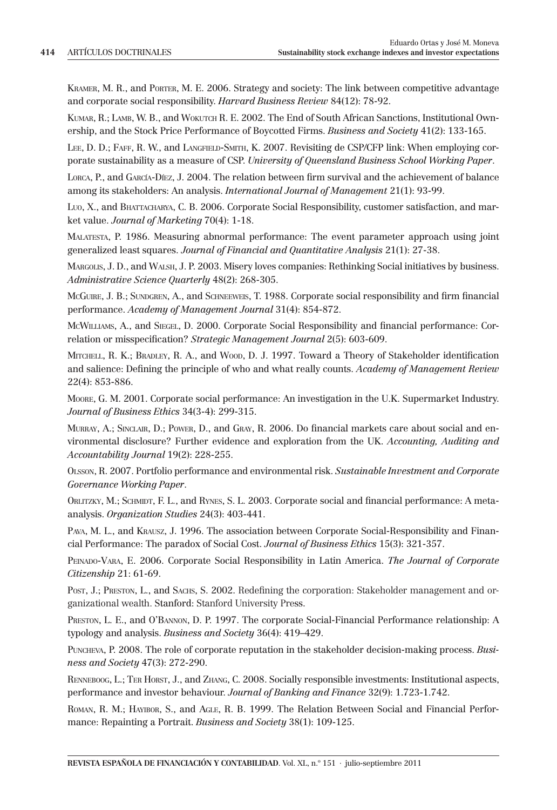KRAMER, M. R., and PORTER, M. E. 2006. Strategy and society: The link between competitive advantage and corporate social responsibility. *Harvard Business Review* 84(12): 78-92.

KUMAR, R.; LAMB, W. B., and WOKUTCH R. E. 2002. The End of South African Sanctions, Institutional Ownership, and the Stock Price Performance of Boycotted Firms. *Business and Society* 41(2): 133-165.

LEE, D. D.; FAFF, R. W., and LANGFIELD-SMITH, K. 2007. Revisiting de CSP/CFP link: When employing corporate sustainability as a measure of CSP. *University of Queensland Business School Working Paper*.

LORCA, P., and GARCIA-DIEZ, J. 2004. The relation between firm survival and the achievement of balance among its stakeholders: An analysis. *International Journal of Management* 21(1): 93-99.

LUO, X., and BHATTACHARYA, C. B. 2006. Corporate Social Responsibility, customer satisfaction, and market value. *Journal of Marketing* 70(4): 1-18.

MALATESTA, P. 1986. Measuring abnormal performance: The event parameter approach using joint generalized least squares. *Journal of Financial and Quantitative Analysis* 21(1): 27-38.

MARGOLIS, J. D., and WALSH, J. P. 2003. Misery loves companies: Rethinking Social initiatives by business. *Administrative Science Quarterly* 48(2): 268-305.

McGUIRE, J. B.; SUNDGREN, A., and SCHNEEWEIS, T. 1988. Corporate social responsibility and firm financial performance. *Academy of Management Journal* 31(4): 854-872.

McWILLIAMS, A., and SIEGEL, D. 2000. Corporate Social Responsibility and financial performance: Correlation or misspecification? *Strategic Management Journal* 2(5): 603-609.

MITCHELL, R. K.; BRADLEY, R. A., and Woop, D. J. 1997. Toward a Theory of Stakeholder identification and salience: Defining the principle of who and what really counts. *Academy of Management Review* 22(4): 853-886.

MOORE, G. M. 2001. Corporate social performance: An investigation in the U.K. Supermarket Industry. *Journal of Business Ethics* 34(3-4): 299-315.

MURRAY, A.; SINCLAIR, D.; POWER, D., and GRAY, R. 2006. Do financial markets care about social and environmental disclosure? Further evidence and exploration from the UK. *Accounting, Auditing and Accountability Journal* 19(2): 228-255.

OLSSON, R. 2007. Portfolio performance and environmental risk. *Sustainable Investment and Corporate Governance Working Paper*.

ORLITZKY, M.; SCHMIDT, F. L., and RYNES, S. L. 2003. Corporate social and financial performance: A metaanalysis. *Organization Studies* 24(3): 403-441.

PAVA, M. L., and KRAUSZ, J. 1996. The association between Corporate Social-Responsibility and Financial Performance: The paradox of Social Cost. *Journal of Business Ethics* 15(3): 321-357.

PEINADO-VARA, E. 2006. Corporate Social Responsibility in Latin America. *The Journal of Corporate Citizenship* 21: 61-69.

POST, J.; PRESTON, L., and SACHS, S. 2002. Redefining the corporation: Stakeholder management and organizational wealth. Stanford: Stanford University Press.

PRESTON, L. E., and O'BANNON, D. P. 1997. The corporate Social-Financial Performance relationship: A typology and analysis. *Business and Society* 36(4): 419–429.

PUNCHEVA, P. 2008. The role of corporate reputation in the stakeholder decision-making process. *Business and Society* 47(3): 272-290.

RENNEBOOG, L.; TER HORST, J., and ZHANG, C. 2008. Socially responsible investments: Institutional aspects, performance and investor behaviour. *Journal of Banking and Finance* 32(9): 1.723-1.742.

ROMAN, R. M.; HAYIBOR, S., and AGLE, R. B. 1999. The Relation Between Social and Financial Performance: Repainting a Portrait. *Business and Society* 38(1): 109-125.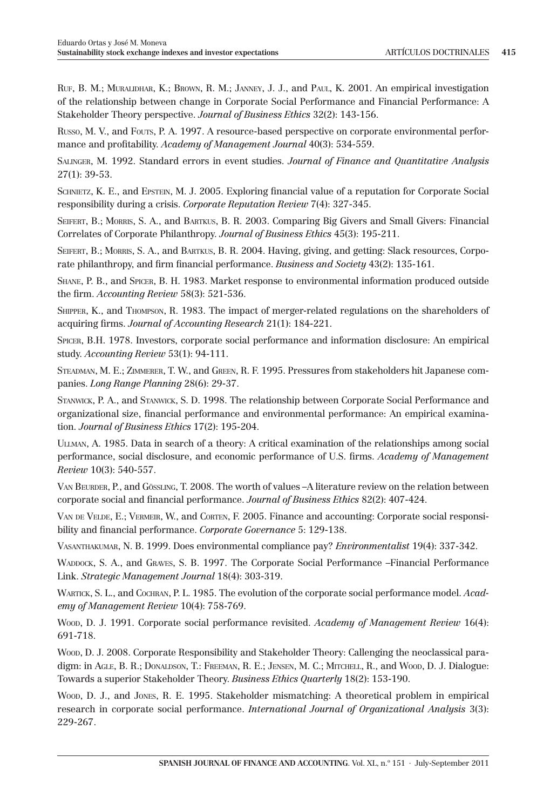RUF, B. M.; MURALIDHAR, K.; BROWN, R. M.; JANNEY, J. J., and PAUL, K. 2001. An empirical investigation of the relationship between change in Corporate Social Performance and Financial Performance: A Stakeholder Theory perspective. *Journal of Business Ethics* 32(2): 143-156.

RUSSO, M. V., and FOUTS, P. A. 1997. A resource-based perspective on corporate environmental performance and profitability. *Academy of Management Journal* 40(3): 534-559.

SALINGER, M. 1992. Standard errors in event studies. *Journal of Finance and Quantitative Analysis* 27(1): 39-53.

SCHNIETZ, K. E., and EPSTEIN, M. J. 2005. Exploring financial value of a reputation for Corporate Social responsibility during a crisis. *Corporate Reputation Review* 7(4): 327-345.

SEIFERT, B.; MORRIS, S. A., and BARTKUS, B. R. 2003. Comparing Big Givers and Small Givers: Financial Correlates of Corporate Philanthropy. *Journal of Business Ethics* 45(3): 195-211.

SEIFERT, B.; MORRIS, S. A., and BARTKUS, B. R. 2004. Having, giving, and getting: Slack resources, Corporate philanthropy, and firm financial performance. *Business and Society* 43(2): 135-161.

SHANE, P. B., and SPICER, B. H. 1983. Market response to environmental information produced outside the firm. *Accounting Review* 58(3): 521-536.

SHIPPER, K., and THOMPSON, R. 1983. The impact of merger-related regulations on the shareholders of acquiring firms. *Journal of Accounting Research* 21(1): 184-221.

SPICER, B.H. 1978. Investors, corporate social performance and information disclosure: An empirical study. *Accounting Review* 53(1): 94-111.

STEADMAN, M. E.; ZIMMERER, T. W., and GREEN, R. F. 1995. Pressures from stakeholders hit Japanese companies. *Long Range Planning* 28(6): 29-37.

STANWICK, P. A., and STANWICK, S. D. 1998. The relationship between Corporate Social Performance and organizational size, financial performance and environmental performance: An empirical examination. *Journal of Business Ethics* 17(2): 195-204.

ULLMAN, A. 1985. Data in search of a theory: A critical examination of the relationships among social performance, social disclosure, and economic performance of U.S. firms. *Academy of Management Review* 10(3): 540-557.

VAN BEURDER, P., and GÖSSLING, T. 2008. The worth of values –A literature review on the relation between corporate social and financial performance. *Journal of Business Ethics* 82(2): 407-424.

VAN DE VELDE, E.; VERMEIR, W., and CORTEN, F. 2005. Finance and accounting: Corporate social responsibility and financial performance. Corporate Governance 5: 129-138.

VASANTHAKUMAR, N. B. 1999. Does environmental compliance pay? *Environmentalist* 19(4): 337-342.

WADDOCK, S. A., and GRAVES, S. B. 1997. The Corporate Social Performance –Financial Performance Link. *Strategic Management Journal* 18(4): 303-319.

WARTICK, S. L., and COCHRAN, P. L. 1985. The evolution of the corporate social performance model. *Academy of Management Review* 10(4): 758-769.

WOOD, D. J. 1991. Corporate social performance revisited. *Academy of Management Review* 16(4): 691-718.

WOOD, D. J. 2008. Corporate Responsibility and Stakeholder Theory: Callenging the neoclassical paradigm: in AGLE, B. R.; DONALDSON, T.: FREEMAN, R. E.; JENSEN, M. C.; MITCHELL, R., and WOOD, D. J. Dialogue: Towards a superior Stakeholder Theory. *Business Ethics Quarterly* 18(2): 153-190.

WOOD, D. J., and JONES, R. E. 1995. Stakeholder mismatching: A theoretical problem in empirical research in corporate social performance. *International Journal of Organizational Analysis* 3(3): 229-267.